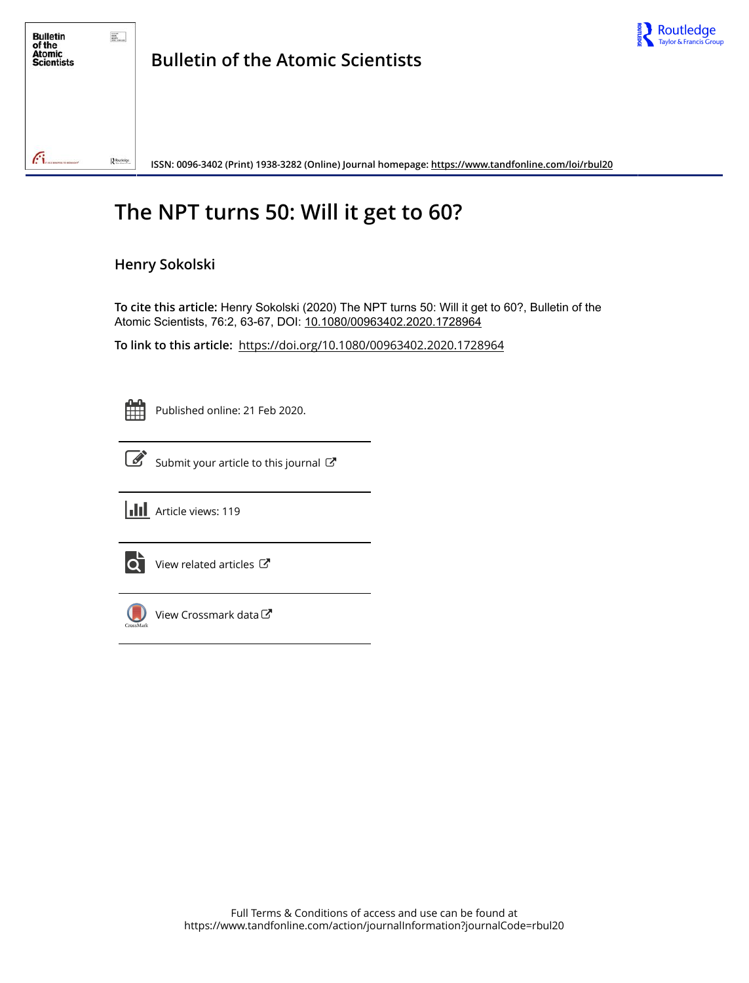

## **The NPT turns 50: Will it get to 60?**

### **Henry Sokolski**

**To cite this article:** Henry Sokolski (2020) The NPT turns 50: Will it get to 60?, Bulletin of the Atomic Scientists, 76:2, 63-67, DOI: [10.1080/00963402.2020.1728964](https://www.tandfonline.com/action/showCitFormats?doi=10.1080/00963402.2020.1728964)

**To link to this article:** <https://doi.org/10.1080/00963402.2020.1728964>

| - |
|---|
|   |
|   |
|   |

Published online: 21 Feb 2020.



[Submit your article to this journal](https://www.tandfonline.com/action/authorSubmission?journalCode=rbul20&show=instructions)  $\mathbb{Z}$ 





 $\overrightarrow{Q}$  [View related articles](https://www.tandfonline.com/doi/mlt/10.1080/00963402.2020.1728964)  $\overrightarrow{C}$ 



[View Crossmark data](http://crossmark.crossref.org/dialog/?doi=10.1080/00963402.2020.1728964&domain=pdf&date_stamp=2020-02-21)  $\sigma$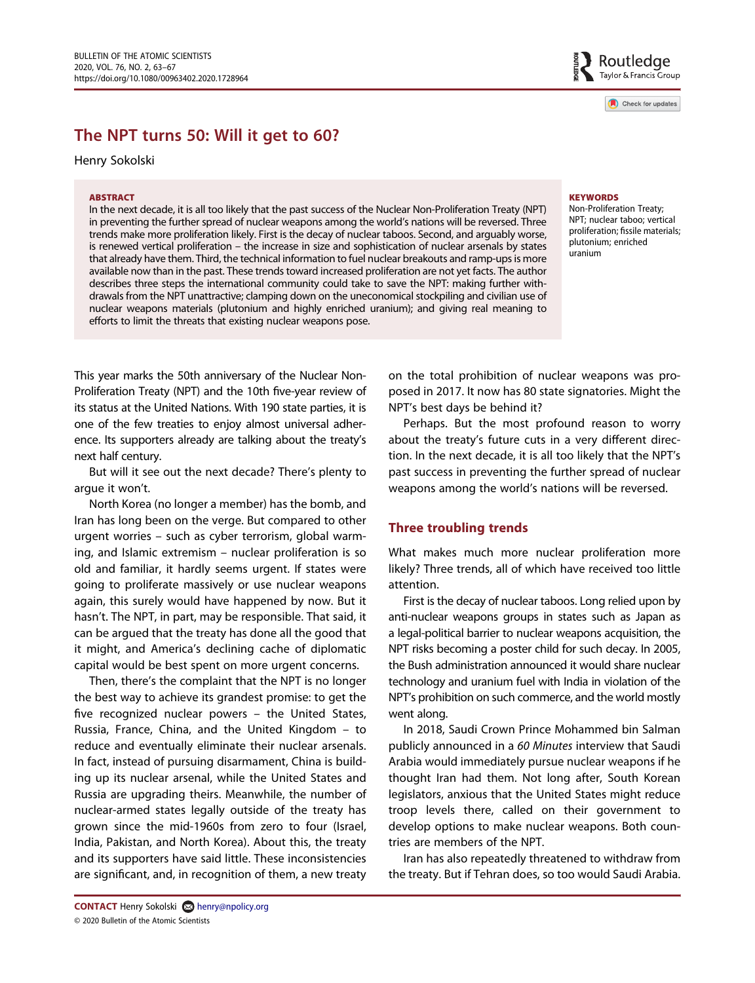Check for updates

# The NPT turns of the NPT turns of the NPT turns of the NPT turns of the NPT turns of the NPT turns of the NPT turns of the NPT turns of the NPT turns of the NPT turns of the NPT turns of the NPT turns of the NPT turns of t

Henry Sokolski

#### ABSTRACT

In the next decade, it is all too likely that the past success of the Nuclear Non-Proliferation Treaty (NPT) in preventing the further spread of nuclear weapons among the world's nations will be reversed. Three trends make more proliferation likely. First is the decay of nuclear taboos. Second, and arguably worse, is renewed vertical proliferation – the increase in size and sophistication of nuclear arsenals by states that already have them. Third, the technical information to fuel nuclear breakouts and ramp-ups is more available now than in the past. These trends toward increased proliferation are not yet facts. The author describes three steps the international community could take to save the NPT: making further withdrawals from the NPT unattractive; clamping down on the uneconomical stockpiling and civilian use of nuclear weapons materials (plutonium and highly enriched uranium); and giving real meaning to efforts to limit the threats that existing nuclear weapons pose.

#### **KEYWORDS**

Non-Proliferation Treaty; NPT; nuclear taboo; vertical proliferation; fissile materials; plutonium; enriched uranium

This year marks the 50th anniversary of the Nuclear Non-Proliferation Treaty (NPT) and the 10th five-year review of its status at the United Nations. With 190 state parties, it is one of the few treaties to enjoy almost universal adherence. Its supporters already are talking about the treaty's next half century.

But will it see out the next decade? There's plenty to argue it won't.

North Korea (no longer a member) has the bomb, and Iran has long been on the verge. But compared to other urgent worries – such as cyber terrorism, global warming, and Islamic extremism – nuclear proliferation is so old and familiar, it hardly seems urgent. If states were going to proliferate massively or use nuclear weapons again, this surely would have happened by now. But it hasn't. The NPT, in part, may be responsible. That said, it can be argued that the treaty has done all the good that it might, and America's declining cache of diplomatic capital would be best spent on more urgent concerns.

Then, there's the complaint that the NPT is no longer the best way to achieve its grandest promise: to get the five recognized nuclear powers – the United States, Russia, France, China, and the United Kingdom – to reduce and eventually eliminate their nuclear arsenals. In fact, instead of pursuing disarmament, China is building up its nuclear arsenal, while the United States and Russia are upgrading theirs. Meanwhile, the number of nuclear-armed states legally outside of the treaty has grown since the mid-1960s from zero to four (Israel, India, Pakistan, and North Korea). About this, the treaty and its supporters have said little. These inconsistencies are significant, and, in recognition of them, a new treaty on the total prohibition of nuclear weapons was proposed in 2017. It now has 80 state signatories. Might the NPT's best days be behind it?

Perhaps. But the most profound reason to worry about the treaty's future cuts in a very different direction. In the next decade, it is all too likely that the NPT's past success in preventing the further spread of nuclear weapons among the world's nations will be reversed.

#### Three troubling trends

What makes much more nuclear proliferation more likely? Three trends, all of which have received too little attention.

First is the decay of nuclear taboos. Long relied upon by anti-nuclear weapons groups in states such as Japan as a legal-political barrier to nuclear weapons acquisition, the NPT risks becoming a poster child for such decay. In 2005, the Bush administration announced it would share nuclear technology and uranium fuel with India in violation of the NPT's prohibition on such commerce, and the world mostly went along.

In 2018, Saudi Crown Prince Mohammed bin Salman publicly announced in a 60 Minutes interview that Saudi Arabia would immediately pursue nuclear weapons if he thought Iran had them. Not long after, South Korean legislators, anxious that the United States might reduce troop levels there, called on their government to develop options to make nuclear weapons. Both countries are members of the NPT.

Iran has also repeatedly threatened to withdraw from the treaty. But if Tehran does, so too would Saudi Arabia.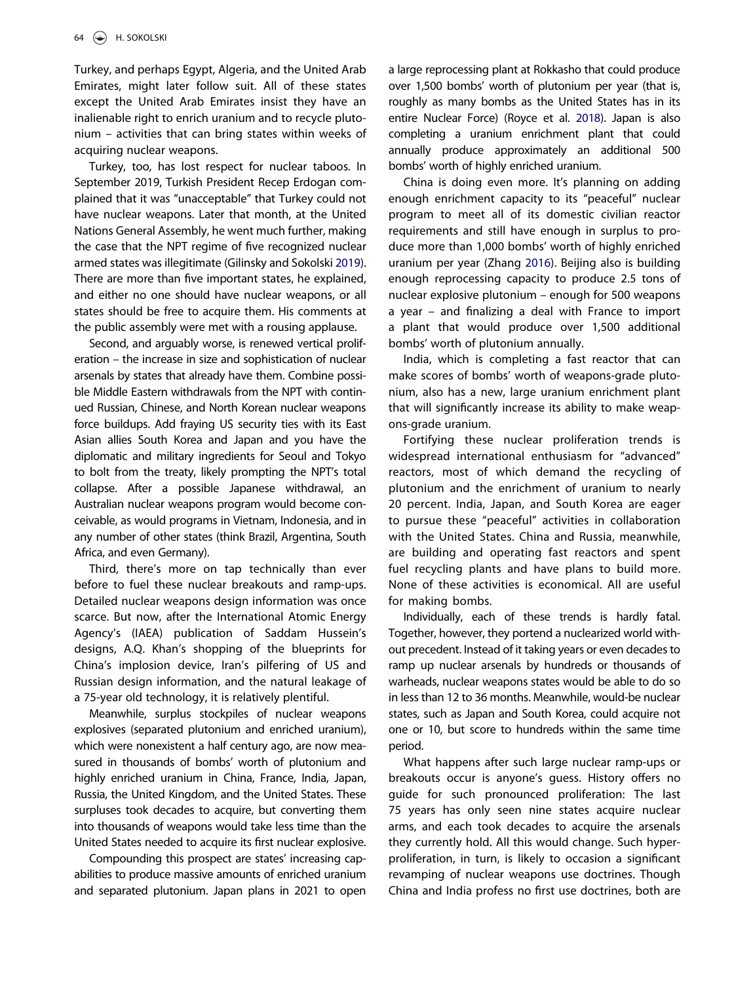Turkey, and perhaps Egypt, Algeria, and the United Arab Emirates, might later follow suit. All of these states except the United Arab Emirates insist they have an inalienable right to enrich uranium and to recycle plutonium – activities that can bring states within weeks of acquiring nuclear weapons.

<span id="page-2-0"></span>Turkey, too, has lost respect for nuclear taboos. In September 2019, Turkish President Recep Erdogan complained that it was "unacceptable" that Turkey could not have nuclear weapons. Later that month, at the United Nations General Assembly, he went much further, making the case that the NPT regime of five recognized nuclear armed states was illegitimate (Gilinsky and Sokolski [2019\)](#page-5-0). There are more than five important states, he explained, and either no one should have nuclear weapons, or all states should be free to acquire them. His comments at the public assembly were met with a rousing applause.

Second, and arguably worse, is renewed vertical proliferation – the increase in size and sophistication of nuclear arsenals by states that already have them. Combine possible Middle Eastern withdrawals from the NPT with continued Russian, Chinese, and North Korean nuclear weapons force buildups. Add fraying US security ties with its East Asian allies South Korea and Japan and you have the diplomatic and military ingredients for Seoul and Tokyo to bolt from the treaty, likely prompting the NPT's total collapse. After a possible Japanese withdrawal, an Australian nuclear weapons program would become conceivable, as would programs in Vietnam, Indonesia, and in any number of other states (think Brazil, Argentina, South Africa, and even Germany).

Third, there's more on tap technically than ever before to fuel these nuclear breakouts and ramp-ups. Detailed nuclear weapons design information was once scarce. But now, after the International Atomic Energy Agency's (IAEA) publication of Saddam Hussein's designs, A.Q. Khan's shopping of the blueprints for China's implosion device, Iran's pilfering of US and Russian design information, and the natural leakage of a 75-year old technology, it is relatively plentiful.

Meanwhile, surplus stockpiles of nuclear weapons explosives (separated plutonium and enriched uranium), which were nonexistent a half century ago, are now measured in thousands of bombs' worth of plutonium and highly enriched uranium in China, France, India, Japan, Russia, the United Kingdom, and the United States. These surpluses took decades to acquire, but converting them into thousands of weapons would take less time than the United States needed to acquire its first nuclear explosive.

Compounding this prospect are states' increasing capabilities to produce massive amounts of enriched uranium and separated plutonium. Japan plans in 2021 to open <span id="page-2-1"></span>a large reprocessing plant at Rokkasho that could produce over 1,500 bombs' worth of plutonium per year (that is, roughly as many bombs as the United States has in its entire Nuclear Force) (Royce et al. [2018\)](#page-5-1). Japan is also completing a uranium enrichment plant that could annually produce approximately an additional 500 bombs' worth of highly enriched uranium.

<span id="page-2-2"></span>China is doing even more. It's planning on adding enough enrichment capacity to its "peaceful" nuclear program to meet all of its domestic civilian reactor requirements and still have enough in surplus to produce more than 1,000 bombs' worth of highly enriched uranium per year (Zhang [2016\)](#page-5-2). Beijing also is building enough reprocessing capacity to produce 2.5 tons of nuclear explosive plutonium – enough for 500 weapons a year – and finalizing a deal with France to import a plant that would produce over 1,500 additional bombs' worth of plutonium annually.

India, which is completing a fast reactor that can make scores of bombs' worth of weapons-grade plutonium, also has a new, large uranium enrichment plant that will significantly increase its ability to make weapons-grade uranium.

Fortifying these nuclear proliferation trends is widespread international enthusiasm for "advanced" reactors, most of which demand the recycling of plutonium and the enrichment of uranium to nearly 20 percent. India, Japan, and South Korea are eager to pursue these "peaceful" activities in collaboration with the United States. China and Russia, meanwhile, are building and operating fast reactors and spent fuel recycling plants and have plans to build more. None of these activities is economical. All are useful for making bombs.

Individually, each of these trends is hardly fatal. Together, however, they portend a nuclearized world without precedent. Instead of it taking years or even decades to ramp up nuclear arsenals by hundreds or thousands of warheads, nuclear weapons states would be able to do so in less than 12 to 36 months. Meanwhile, would-be nuclear states, such as Japan and South Korea, could acquire not one or 10, but score to hundreds within the same time period.

What happens after such large nuclear ramp-ups or breakouts occur is anyone's guess. History offers no guide for such pronounced proliferation: The last 75 years has only seen nine states acquire nuclear arms, and each took decades to acquire the arsenals they currently hold. All this would change. Such hyperproliferation, in turn, is likely to occasion a significant revamping of nuclear weapons use doctrines. Though China and India profess no first use doctrines, both are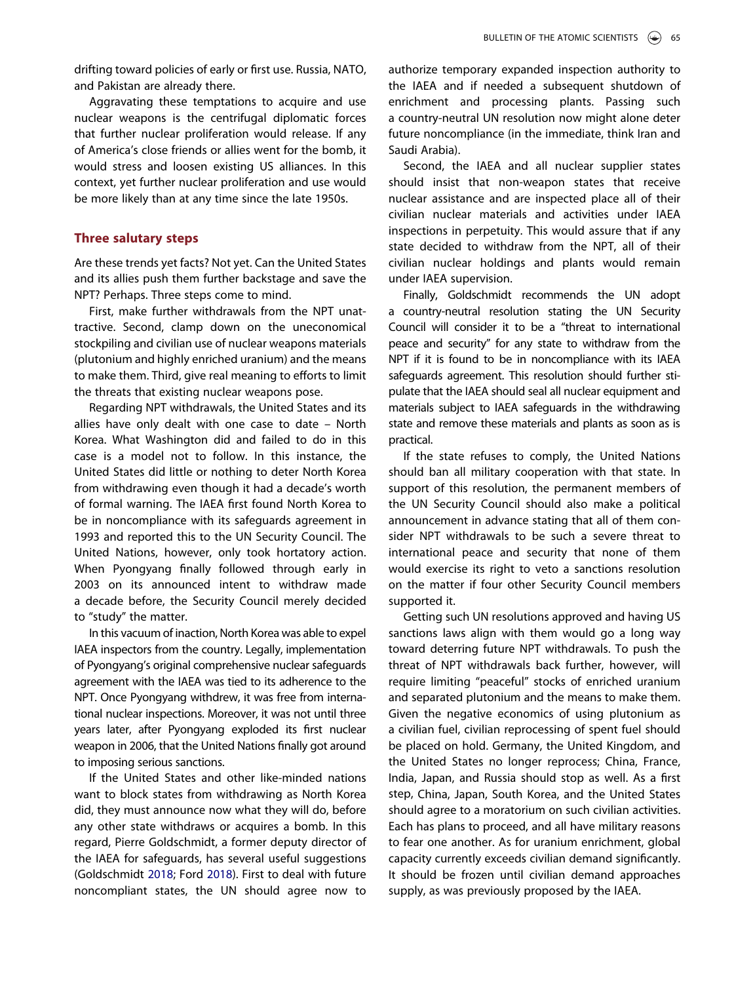drifting toward policies of early or first use. Russia, NATO, and Pakistan are already there.

Aggravating these temptations to acquire and use nuclear weapons is the centrifugal diplomatic forces that further nuclear proliferation would release. If any of America's close friends or allies went for the bomb, it would stress and loosen existing US alliances. In this context, yet further nuclear proliferation and use would be more likely than at any time since the late 1950s.

#### Three salutary steps

Are these trends yet facts? Not yet. Can the United States and its allies push them further backstage and save the NPT? Perhaps. Three steps come to mind.

First, make further withdrawals from the NPT unattractive. Second, clamp down on the uneconomical stockpiling and civilian use of nuclear weapons materials (plutonium and highly enriched uranium) and the means to make them. Third, give real meaning to efforts to limit the threats that existing nuclear weapons pose.

Regarding NPT withdrawals, the United States and its allies have only dealt with one case to date – North Korea. What Washington did and failed to do in this case is a model not to follow. In this instance, the United States did little or nothing to deter North Korea from withdrawing even though it had a decade's worth of formal warning. The IAEA first found North Korea to be in noncompliance with its safeguards agreement in 1993 and reported this to the UN Security Council. The United Nations, however, only took hortatory action. When Pyongyang finally followed through early in 2003 on its announced intent to withdraw made a decade before, the Security Council merely decided to "study" the matter.

In this vacuum of inaction, North Korea was able to expel IAEA inspectors from the country. Legally, implementation of Pyongyang's original comprehensive nuclear safeguards agreement with the IAEA was tied to its adherence to the NPT. Once Pyongyang withdrew, it was free from international nuclear inspections. Moreover, it was not until three years later, after Pyongyang exploded its first nuclear weapon in 2006, that the United Nations finally got around to imposing serious sanctions.

<span id="page-3-0"></span>If the United States and other like-minded nations want to block states from withdrawing as North Korea did, they must announce now what they will do, before any other state withdraws or acquires a bomb. In this regard, Pierre Goldschmidt, a former deputy director of the IAEA for safeguards, has several useful suggestions (Goldschmidt [2018;](#page-5-3) Ford [2018\)](#page-5-4). First to deal with future noncompliant states, the UN should agree now to authorize temporary expanded inspection authority to the IAEA and if needed a subsequent shutdown of enrichment and processing plants. Passing such a country-neutral UN resolution now might alone deter future noncompliance (in the immediate, think Iran and Saudi Arabia).

Second, the IAEA and all nuclear supplier states should insist that non-weapon states that receive nuclear assistance and are inspected place all of their civilian nuclear materials and activities under IAEA inspections in perpetuity. This would assure that if any state decided to withdraw from the NPT, all of their civilian nuclear holdings and plants would remain under IAEA supervision.

Finally, Goldschmidt recommends the UN adopt a country-neutral resolution stating the UN Security Council will consider it to be a "threat to international peace and security" for any state to withdraw from the NPT if it is found to be in noncompliance with its IAEA safeguards agreement. This resolution should further stipulate that the IAEA should seal all nuclear equipment and materials subject to IAEA safeguards in the withdrawing state and remove these materials and plants as soon as is practical.

If the state refuses to comply, the United Nations should ban all military cooperation with that state. In support of this resolution, the permanent members of the UN Security Council should also make a political announcement in advance stating that all of them consider NPT withdrawals to be such a severe threat to international peace and security that none of them would exercise its right to veto a sanctions resolution on the matter if four other Security Council members supported it.

Getting such UN resolutions approved and having US sanctions laws align with them would go a long way toward deterring future NPT withdrawals. To push the threat of NPT withdrawals back further, however, will require limiting "peaceful" stocks of enriched uranium and separated plutonium and the means to make them. Given the negative economics of using plutonium as a civilian fuel, civilian reprocessing of spent fuel should be placed on hold. Germany, the United Kingdom, and the United States no longer reprocess; China, France, India, Japan, and Russia should stop as well. As a first step, China, Japan, South Korea, and the United States should agree to a moratorium on such civilian activities. Each has plans to proceed, and all have military reasons to fear one another. As for uranium enrichment, global capacity currently exceeds civilian demand significantly. It should be frozen until civilian demand approaches supply, as was previously proposed by the IAEA.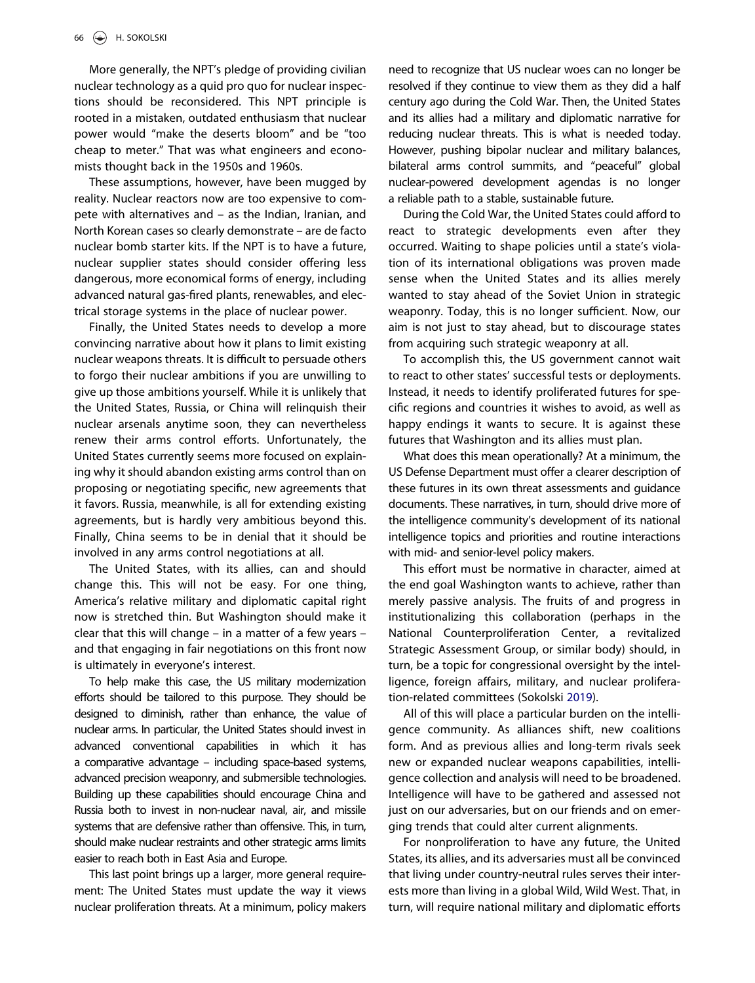More generally, the NPT's pledge of providing civilian nuclear technology as a quid pro quo for nuclear inspections should be reconsidered. This NPT principle is rooted in a mistaken, outdated enthusiasm that nuclear power would "make the deserts bloom" and be "too cheap to meter." That was what engineers and economists thought back in the 1950s and 1960s.

These assumptions, however, have been mugged by reality. Nuclear reactors now are too expensive to compete with alternatives and – as the Indian, Iranian, and North Korean cases so clearly demonstrate – are de facto nuclear bomb starter kits. If the NPT is to have a future, nuclear supplier states should consider offering less dangerous, more economical forms of energy, including advanced natural gas-fired plants, renewables, and electrical storage systems in the place of nuclear power.

Finally, the United States needs to develop a more convincing narrative about how it plans to limit existing nuclear weapons threats. It is difficult to persuade others to forgo their nuclear ambitions if you are unwilling to give up those ambitions yourself. While it is unlikely that the United States, Russia, or China will relinquish their nuclear arsenals anytime soon, they can nevertheless renew their arms control efforts. Unfortunately, the United States currently seems more focused on explaining why it should abandon existing arms control than on proposing or negotiating specific, new agreements that it favors. Russia, meanwhile, is all for extending existing agreements, but is hardly very ambitious beyond this. Finally, China seems to be in denial that it should be involved in any arms control negotiations at all.

The United States, with its allies, can and should change this. This will not be easy. For one thing, America's relative military and diplomatic capital right now is stretched thin. But Washington should make it clear that this will change – in a matter of a few years – and that engaging in fair negotiations on this front now is ultimately in everyone's interest.

To help make this case, the US military modernization efforts should be tailored to this purpose. They should be designed to diminish, rather than enhance, the value of nuclear arms. In particular, the United States should invest in advanced conventional capabilities in which it has a comparative advantage – including space-based systems, advanced precision weaponry, and submersible technologies. Building up these capabilities should encourage China and Russia both to invest in non-nuclear naval, air, and missile systems that are defensive rather than offensive. This, in turn, should make nuclear restraints and other strategic arms limits easier to reach both in East Asia and Europe.

This last point brings up a larger, more general requirement: The United States must update the way it views nuclear proliferation threats. At a minimum, policy makers need to recognize that US nuclear woes can no longer be resolved if they continue to view them as they did a half century ago during the Cold War. Then, the United States and its allies had a military and diplomatic narrative for reducing nuclear threats. This is what is needed today. However, pushing bipolar nuclear and military balances, bilateral arms control summits, and "peaceful" global nuclear-powered development agendas is no longer a reliable path to a stable, sustainable future.

During the Cold War, the United States could afford to react to strategic developments even after they occurred. Waiting to shape policies until a state's violation of its international obligations was proven made sense when the United States and its allies merely wanted to stay ahead of the Soviet Union in strategic weaponry. Today, this is no longer sufficient. Now, our aim is not just to stay ahead, but to discourage states from acquiring such strategic weaponry at all.

To accomplish this, the US government cannot wait to react to other states' successful tests or deployments. Instead, it needs to identify proliferated futures for specific regions and countries it wishes to avoid, as well as happy endings it wants to secure. It is against these futures that Washington and its allies must plan.

What does this mean operationally? At a minimum, the US Defense Department must offer a clearer description of these futures in its own threat assessments and guidance documents. These narratives, in turn, should drive more of the intelligence community's development of its national intelligence topics and priorities and routine interactions with mid- and senior-level policy makers.

This effort must be normative in character, aimed at the end goal Washington wants to achieve, rather than merely passive analysis. The fruits of and progress in institutionalizing this collaboration (perhaps in the National Counterproliferation Center, a revitalized Strategic Assessment Group, or similar body) should, in turn, be a topic for congressional oversight by the intelligence, foreign affairs, military, and nuclear proliferation-related committees (Sokolski [2019](#page-5-5)).

<span id="page-4-0"></span>All of this will place a particular burden on the intelligence community. As alliances shift, new coalitions form. And as previous allies and long-term rivals seek new or expanded nuclear weapons capabilities, intelligence collection and analysis will need to be broadened. Intelligence will have to be gathered and assessed not just on our adversaries, but on our friends and on emerging trends that could alter current alignments.

For nonproliferation to have any future, the United States, its allies, and its adversaries must all be convinced that living under country-neutral rules serves their interests more than living in a global Wild, Wild West. That, in turn, will require national military and diplomatic efforts